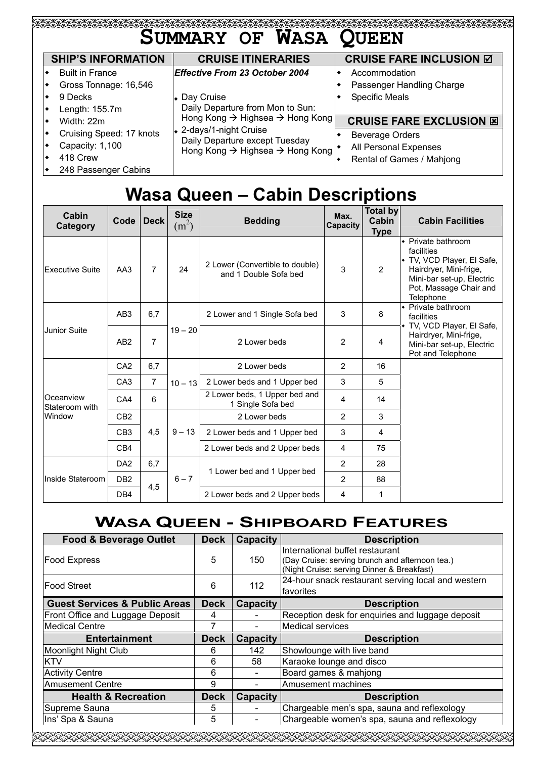| EARARARARARARARARARARARARARARARA | <b>SUMMARY OF WASA QUEEN</b>                                                                                                    |                                 |
|----------------------------------|---------------------------------------------------------------------------------------------------------------------------------|---------------------------------|
| <b>SHIP'S INFORMATION</b>        | <b>CRUISE ITINERARIES</b>                                                                                                       | <b>CRUISE FARE INCLUSION Ø</b>  |
| <b>Built in France</b>           | <b>Effective From 23 October 2004</b>                                                                                           | Accommodation                   |
| Gross Tonnage: 16,546            |                                                                                                                                 | Passenger Handling Charge       |
| 9 Decks                          | • Day Cruise                                                                                                                    | <b>Specific Meals</b>           |
| Length: 155.7m                   | Daily Departure from Mon to Sun:                                                                                                |                                 |
| Width: 22m                       | Hong Kong → Highsea → Hong Kong<br>↓ 2-days/1-night Cruise<br>Daily Departure except Tuesday<br>Hong Kong → Highsea → Hong Kong | <b>CRUISE FARE EXCLUSION ED</b> |
| Cruising Speed: 17 knots         |                                                                                                                                 | <b>Beverage Orders</b>          |
| Capacity: 1,100                  |                                                                                                                                 | All Personal Expenses           |
| 418 Crew                         |                                                                                                                                 | Rental of Games / Mahjong       |
| 248 Passenger Cabins             |                                                                                                                                 |                                 |

# **Wasa Queen – Cabin Descriptions**

| Cabin<br>Category                     | Code            | <b>Deck</b>    | <b>Size</b><br>$(m^2)$ | <b>Bedding</b>                                           | Max.<br>Capacity | Total by<br>Cabin<br><b>Type</b> | <b>Cabin Facilities</b>                                                                                                                                                                                                                                                                                    |
|---------------------------------------|-----------------|----------------|------------------------|----------------------------------------------------------|------------------|----------------------------------|------------------------------------------------------------------------------------------------------------------------------------------------------------------------------------------------------------------------------------------------------------------------------------------------------------|
| Executive Suite                       | AA3             | $\overline{7}$ | 24                     | 2 Lower (Convertible to double)<br>and 1 Double Sofa bed | 3                | $\overline{2}$                   | • Private bathroom<br>facilities<br>• TV, VCD Player, El Safe,<br>Hairdryer, Mini-frige,<br>Mini-bar set-up, Electric<br>Pot, Massage Chair and<br>Telephone<br>• Private bathroom<br>facilities<br>◆ TV, VCD Player, El Safe,<br>Hairdryer, Mini-frige,<br>Mini-bar set-up, Electric<br>Pot and Telephone |
|                                       | AB <sub>3</sub> | 6,7            |                        | 2 Lower and 1 Single Sofa bed                            | 3                | 8                                |                                                                                                                                                                                                                                                                                                            |
| Junior Suite                          | AB <sub>2</sub> | $\overline{7}$ | $19 - 20$              | 2 Lower beds                                             | 2                | 4                                |                                                                                                                                                                                                                                                                                                            |
|                                       | CA <sub>2</sub> | 6,7            |                        | 2 Lower beds                                             | $\overline{2}$   | 16                               |                                                                                                                                                                                                                                                                                                            |
| Oceanview<br>Stateroom with<br>Window | CA <sub>3</sub> | $\overline{7}$ | $10 - 13$              | 2 Lower beds and 1 Upper bed                             | 3                | 5                                |                                                                                                                                                                                                                                                                                                            |
|                                       | CA4             | 6              |                        | 2 Lower beds, 1 Upper bed and<br>1 Single Sofa bed       | 4                | 14                               |                                                                                                                                                                                                                                                                                                            |
|                                       | CB <sub>2</sub> |                |                        | 2 Lower beds                                             | 2                | 3                                |                                                                                                                                                                                                                                                                                                            |
|                                       | CB <sub>3</sub> | 4,5            | $9 - 13$               | 2 Lower beds and 1 Upper bed                             | 3                | 4                                |                                                                                                                                                                                                                                                                                                            |
|                                       | CB4             |                |                        | 2 Lower beds and 2 Upper beds<br>4<br>75                 |                  |                                  |                                                                                                                                                                                                                                                                                                            |
|                                       | DA <sub>2</sub> | 6,7            |                        |                                                          | $\overline{2}$   | 28                               |                                                                                                                                                                                                                                                                                                            |
| Inside Stateroom                      | DB <sub>2</sub> | 4,5            | $6 - 7$                | 1 Lower bed and 1 Upper bed                              | $\overline{2}$   | 88                               |                                                                                                                                                                                                                                                                                                            |
|                                       | DB4             |                |                        | 2 Lower beds and 2 Upper beds                            | 4                | 1                                |                                                                                                                                                                                                                                                                                                            |

## **WASA QUEEN - SHIPBOARD FEATURES**

| <b>Food &amp; Beverage Outlet</b>        | <b>Deck</b> | <b>Capacity</b>  | <b>Description</b>                                                                                                               |
|------------------------------------------|-------------|------------------|----------------------------------------------------------------------------------------------------------------------------------|
| Food Express                             | 5           | 150              | International buffet restaurant<br>(Day Cruise: serving brunch and afternoon tea.)<br>(Night Cruise: serving Dinner & Breakfast) |
| lFood Street                             | 6           | 112              | 24-hour snack restaurant serving local and western<br>favorites                                                                  |
| <b>Guest Services &amp; Public Areas</b> | <b>Deck</b> | Capacity         | <b>Description</b>                                                                                                               |
| Front Office and Luggage Deposit         | 4           |                  | Reception desk for enquiries and luggage deposit                                                                                 |
| <b>Medical Centre</b>                    |             | Medical services |                                                                                                                                  |
| <b>Entertainment</b>                     | <b>Deck</b> | <b>Capacity</b>  | <b>Description</b>                                                                                                               |
| <b>Moonlight Night Club</b>              | 6           | 142              | Showlounge with live band                                                                                                        |
| KTV                                      | 6           | 58               | Karaoke lounge and disco                                                                                                         |
| <b>Activity Centre</b>                   | 6           |                  | Board games & mahjong                                                                                                            |
| <b>Amusement Centre</b>                  | 9           |                  | Amusement machines                                                                                                               |
| <b>Health &amp; Recreation</b>           | <b>Deck</b> | <b>Capacity</b>  | <b>Description</b>                                                                                                               |
| Supreme Sauna                            | 5           |                  | Chargeable men's spa, sauna and reflexology                                                                                      |
| Ins' Spa & Sauna                         | 5           |                  | Chargeable women's spa, sauna and reflexology                                                                                    |
|                                          |             |                  |                                                                                                                                  |